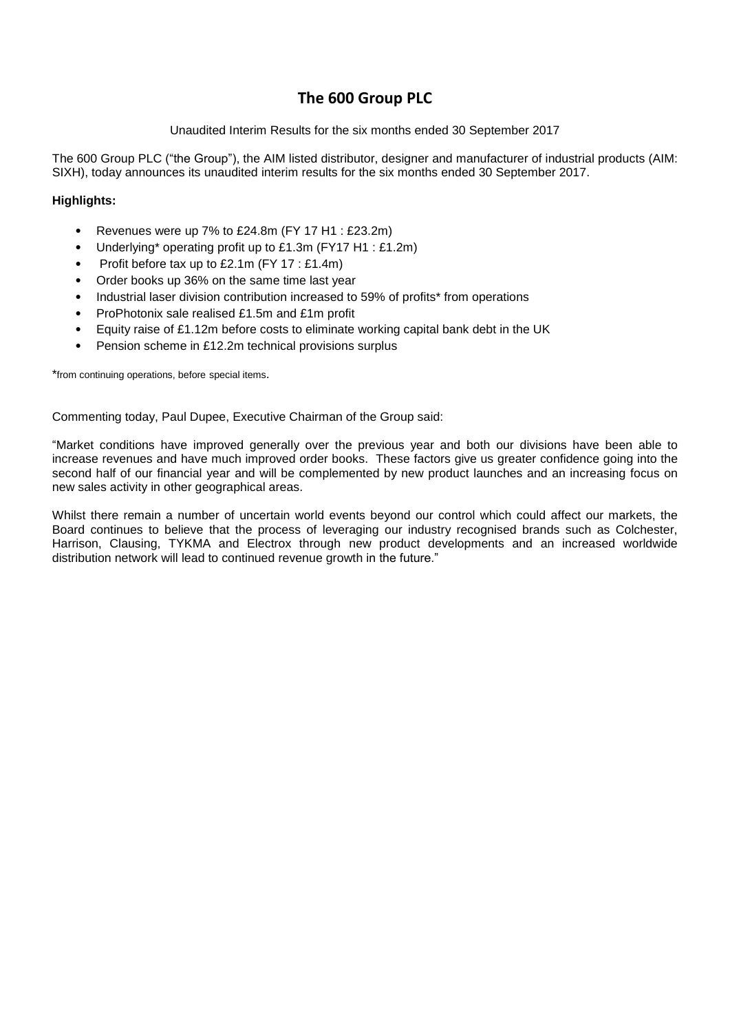## **The 600 Group PLC**

## Unaudited Interim Results for the six months ended 30 September 2017

The 600 Group PLC ("the Group"), the AIM listed distributor, designer and manufacturer of industrial products (AIM: SIXH), today announces its unaudited interim results for the six months ended 30 September 2017.

## **Highlights:**

- Revenues were up 7% to £24.8m (FY 17 H1 : £23.2m)
- Underlying\* operating profit up to £1.3m (FY17 H1 : £1.2m)
- Profit before tax up to £2.1m (FY 17 : £1.4m)
- Order books up 36% on the same time last year
- Industrial laser division contribution increased to 59% of profits\* from operations
- ProPhotonix sale realised £1.5m and £1m profit
- Equity raise of £1.12m before costs to eliminate working capital bank debt in the UK
- Pension scheme in £12.2m technical provisions surplus

\*from continuing operations, before special items.

Commenting today, Paul Dupee, Executive Chairman of the Group said:

"Market conditions have improved generally over the previous year and both our divisions have been able to increase revenues and have much improved order books. These factors give us greater confidence going into the second half of our financial year and will be complemented by new product launches and an increasing focus on new sales activity in other geographical areas.

Whilst there remain a number of uncertain world events beyond our control which could affect our markets, the Board continues to believe that the process of leveraging our industry recognised brands such as Colchester, Harrison, Clausing, TYKMA and Electrox through new product developments and an increased worldwide distribution network will lead to continued revenue growth in the future."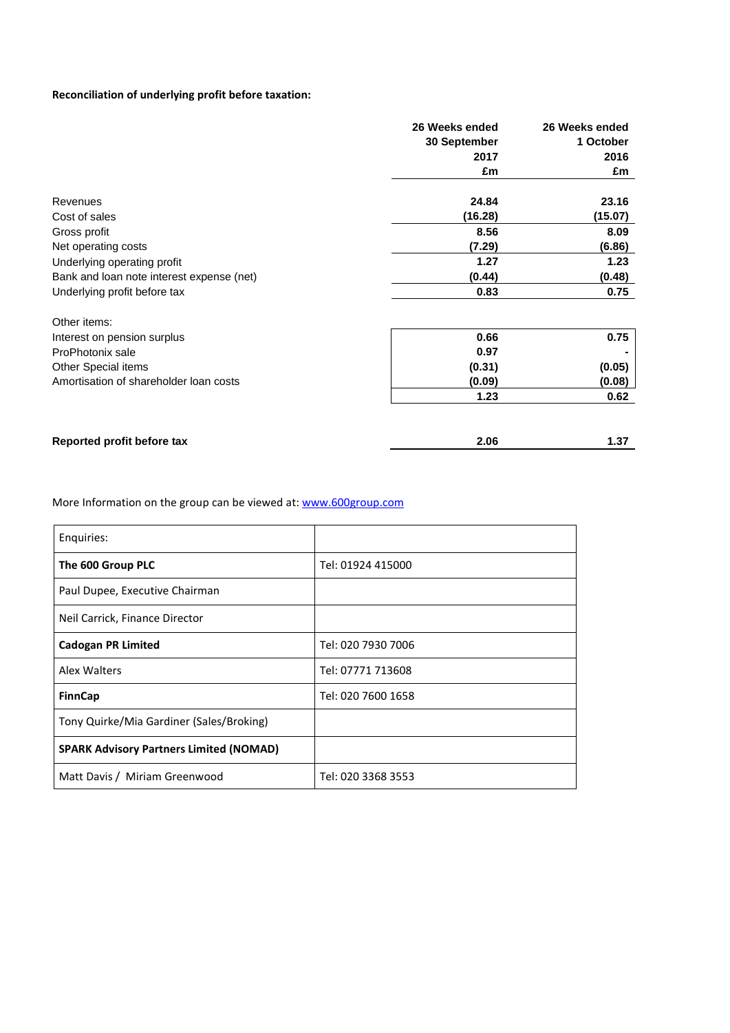## **Reconciliation of underlying profit before taxation:**

|                                           | 26 Weeks ended | 26 Weeks ended |
|-------------------------------------------|----------------|----------------|
|                                           | 30 September   | 1 October      |
|                                           | 2017           | 2016           |
|                                           | £m             | £m             |
| Revenues                                  | 24.84          | 23.16          |
| Cost of sales                             | (16.28)        | (15.07)        |
| Gross profit                              | 8.56           | 8.09           |
| Net operating costs                       | (7.29)         | (6.86)         |
| Underlying operating profit               | 1.27           | 1.23           |
| Bank and loan note interest expense (net) | (0.44)         | (0.48)         |
| Underlying profit before tax              | 0.83           | 0.75           |
| Other items:                              |                |                |
| Interest on pension surplus               | 0.66           | 0.75           |
| ProPhotonix sale                          | 0.97           |                |
| Other Special items                       | (0.31)         | (0.05)         |
| Amortisation of shareholder loan costs    | (0.09)         | (0.08)         |
|                                           | 1.23           | 0.62           |
|                                           |                |                |
| Reported profit before tax                | 2.06           | 1.37           |

More Information on the group can be viewed at: [www.600group.com](http://www.600group.com/)

| Enguiries:                                     |                    |
|------------------------------------------------|--------------------|
| The 600 Group PLC                              | Tel: 01924 415000  |
| Paul Dupee, Executive Chairman                 |                    |
| Neil Carrick, Finance Director                 |                    |
| <b>Cadogan PR Limited</b>                      | Tel: 020 7930 7006 |
| Alex Walters                                   | Tel: 07771 713608  |
| <b>FinnCap</b>                                 | Tel: 020 7600 1658 |
| Tony Quirke/Mia Gardiner (Sales/Broking)       |                    |
| <b>SPARK Advisory Partners Limited (NOMAD)</b> |                    |
| Matt Davis / Miriam Greenwood                  | Tel: 020 3368 3553 |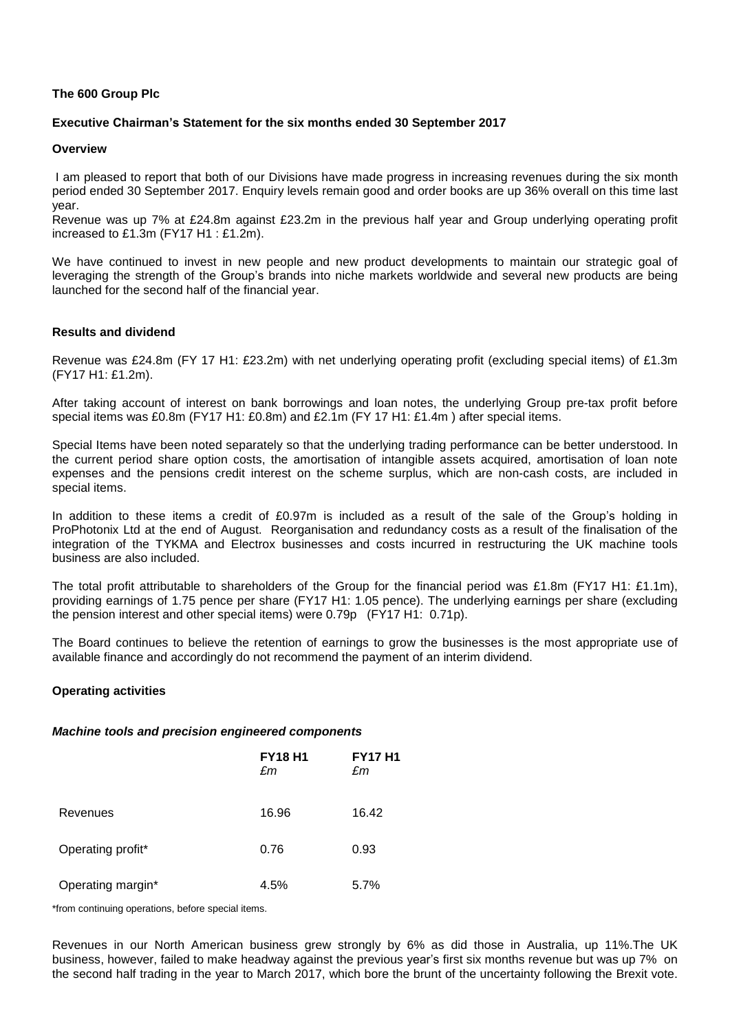## **The 600 Group Plc**

## **Executive Chairman's Statement for the six months ended 30 September 2017**

## **Overview**

I am pleased to report that both of our Divisions have made progress in increasing revenues during the six month period ended 30 September 2017. Enquiry levels remain good and order books are up 36% overall on this time last year.

Revenue was up 7% at £24.8m against £23.2m in the previous half year and Group underlying operating profit increased to £1.3m (FY17 H1 : £1.2m).

We have continued to invest in new people and new product developments to maintain our strategic goal of leveraging the strength of the Group's brands into niche markets worldwide and several new products are being launched for the second half of the financial year.

## **Results and dividend**

Revenue was £24.8m (FY 17 H1: £23.2m) with net underlying operating profit (excluding special items) of £1.3m (FY17 H1: £1.2m).

After taking account of interest on bank borrowings and loan notes, the underlying Group pre-tax profit before special items was £0.8m (FY17 H1: £0.8m) and £2.1m (FY 17 H1: £1.4m ) after special items.

Special Items have been noted separately so that the underlying trading performance can be better understood. In the current period share option costs, the amortisation of intangible assets acquired, amortisation of loan note expenses and the pensions credit interest on the scheme surplus, which are non-cash costs, are included in special items.

In addition to these items a credit of £0.97m is included as a result of the sale of the Group's holding in ProPhotonix Ltd at the end of August. Reorganisation and redundancy costs as a result of the finalisation of the integration of the TYKMA and Electrox businesses and costs incurred in restructuring the UK machine tools business are also included.

The total profit attributable to shareholders of the Group for the financial period was £1.8m (FY17 H1: £1.1m), providing earnings of 1.75 pence per share (FY17 H1: 1.05 pence). The underlying earnings per share (excluding the pension interest and other special items) were 0.79p (FY17 H1: 0.71p).

The Board continues to believe the retention of earnings to grow the businesses is the most appropriate use of available finance and accordingly do not recommend the payment of an interim dividend.

## **Operating activities**

## *Machine tools and precision engineered components*

|                   | <b>FY18 H1</b><br>£m | <b>FY17 H1</b><br>£m |
|-------------------|----------------------|----------------------|
| Revenues          | 16.96                | 16.42                |
| Operating profit* | 0.76                 | 0.93                 |
| Operating margin* | 4.5%                 | 5.7%                 |

\*from continuing operations, before special items.

Revenues in our North American business grew strongly by 6% as did those in Australia, up 11%.The UK business, however, failed to make headway against the previous year's first six months revenue but was up 7% on the second half trading in the year to March 2017, which bore the brunt of the uncertainty following the Brexit vote.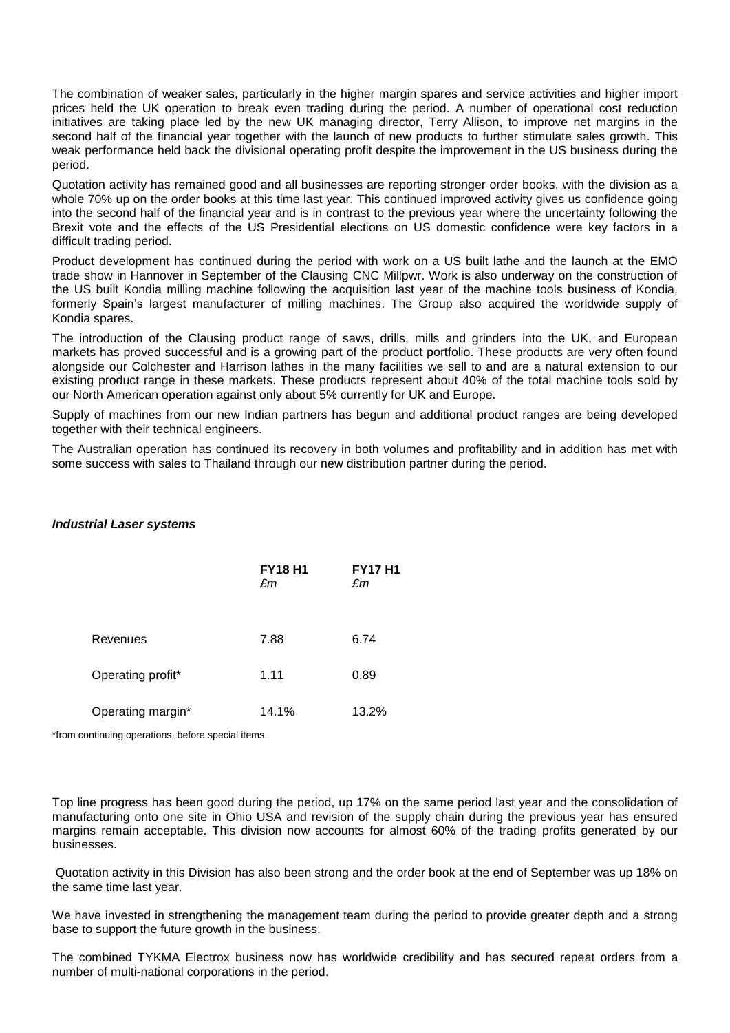The combination of weaker sales, particularly in the higher margin spares and service activities and higher import prices held the UK operation to break even trading during the period. A number of operational cost reduction initiatives are taking place led by the new UK managing director, Terry Allison, to improve net margins in the second half of the financial year together with the launch of new products to further stimulate sales growth. This weak performance held back the divisional operating profit despite the improvement in the US business during the period.

Quotation activity has remained good and all businesses are reporting stronger order books, with the division as a whole 70% up on the order books at this time last year. This continued improved activity gives us confidence going into the second half of the financial year and is in contrast to the previous year where the uncertainty following the Brexit vote and the effects of the US Presidential elections on US domestic confidence were key factors in a difficult trading period.

Product development has continued during the period with work on a US built lathe and the launch at the EMO trade show in Hannover in September of the Clausing CNC Millpwr. Work is also underway on the construction of the US built Kondia milling machine following the acquisition last year of the machine tools business of Kondia, formerly Spain's largest manufacturer of milling machines. The Group also acquired the worldwide supply of Kondia spares.

The introduction of the Clausing product range of saws, drills, mills and grinders into the UK, and European markets has proved successful and is a growing part of the product portfolio. These products are very often found alongside our Colchester and Harrison lathes in the many facilities we sell to and are a natural extension to our existing product range in these markets. These products represent about 40% of the total machine tools sold by our North American operation against only about 5% currently for UK and Europe.

Supply of machines from our new Indian partners has begun and additional product ranges are being developed together with their technical engineers.

The Australian operation has continued its recovery in both volumes and profitability and in addition has met with some success with sales to Thailand through our new distribution partner during the period.

## *Industrial Laser systems*

|                   | <b>FY18 H1</b><br>£m | <b>FY17 H1</b><br>£m |
|-------------------|----------------------|----------------------|
| Revenues          | 7.88                 | 6.74                 |
| Operating profit* | 1.11                 | 0.89                 |
| Operating margin* | 14.1%                | 13.2%                |

\*from continuing operations, before special items.

Top line progress has been good during the period, up 17% on the same period last year and the consolidation of manufacturing onto one site in Ohio USA and revision of the supply chain during the previous year has ensured margins remain acceptable. This division now accounts for almost 60% of the trading profits generated by our businesses.

Quotation activity in this Division has also been strong and the order book at the end of September was up 18% on the same time last year.

We have invested in strengthening the management team during the period to provide greater depth and a strong base to support the future growth in the business.

The combined TYKMA Electrox business now has worldwide credibility and has secured repeat orders from a number of multi-national corporations in the period.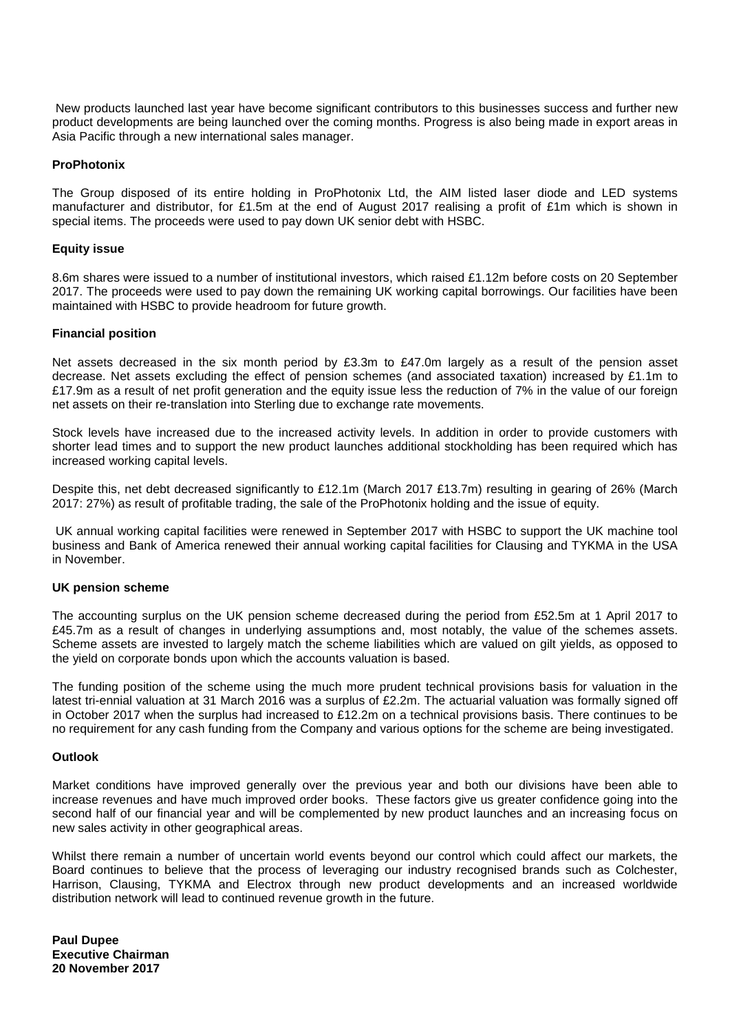New products launched last year have become significant contributors to this businesses success and further new product developments are being launched over the coming months. Progress is also being made in export areas in Asia Pacific through a new international sales manager.

## **ProPhotonix**

The Group disposed of its entire holding in ProPhotonix Ltd, the AIM listed laser diode and LED systems manufacturer and distributor, for £1.5m at the end of August 2017 realising a profit of £1m which is shown in special items. The proceeds were used to pay down UK senior debt with HSBC.

## **Equity issue**

8.6m shares were issued to a number of institutional investors, which raised £1.12m before costs on 20 September 2017. The proceeds were used to pay down the remaining UK working capital borrowings. Our facilities have been maintained with HSBC to provide headroom for future growth.

## **Financial position**

Net assets decreased in the six month period by £3.3m to £47.0m largely as a result of the pension asset decrease. Net assets excluding the effect of pension schemes (and associated taxation) increased by £1.1m to £17.9m as a result of net profit generation and the equity issue less the reduction of 7% in the value of our foreign net assets on their re-translation into Sterling due to exchange rate movements.

Stock levels have increased due to the increased activity levels. In addition in order to provide customers with shorter lead times and to support the new product launches additional stockholding has been required which has increased working capital levels.

Despite this, net debt decreased significantly to £12.1m (March 2017 £13.7m) resulting in gearing of 26% (March 2017: 27%) as result of profitable trading, the sale of the ProPhotonix holding and the issue of equity.

UK annual working capital facilities were renewed in September 2017 with HSBC to support the UK machine tool business and Bank of America renewed their annual working capital facilities for Clausing and TYKMA in the USA in November.

## **UK pension scheme**

The accounting surplus on the UK pension scheme decreased during the period from £52.5m at 1 April 2017 to £45.7m as a result of changes in underlying assumptions and, most notably, the value of the schemes assets. Scheme assets are invested to largely match the scheme liabilities which are valued on gilt yields, as opposed to the yield on corporate bonds upon which the accounts valuation is based.

The funding position of the scheme using the much more prudent technical provisions basis for valuation in the latest tri-ennial valuation at 31 March 2016 was a surplus of £2.2m. The actuarial valuation was formally signed off in October 2017 when the surplus had increased to £12.2m on a technical provisions basis. There continues to be no requirement for any cash funding from the Company and various options for the scheme are being investigated.

## **Outlook**

Market conditions have improved generally over the previous year and both our divisions have been able to increase revenues and have much improved order books. These factors give us greater confidence going into the second half of our financial year and will be complemented by new product launches and an increasing focus on new sales activity in other geographical areas.

Whilst there remain a number of uncertain world events beyond our control which could affect our markets, the Board continues to believe that the process of leveraging our industry recognised brands such as Colchester, Harrison, Clausing, TYKMA and Electrox through new product developments and an increased worldwide distribution network will lead to continued revenue growth in the future.

**Paul Dupee Executive Chairman 20 November 2017**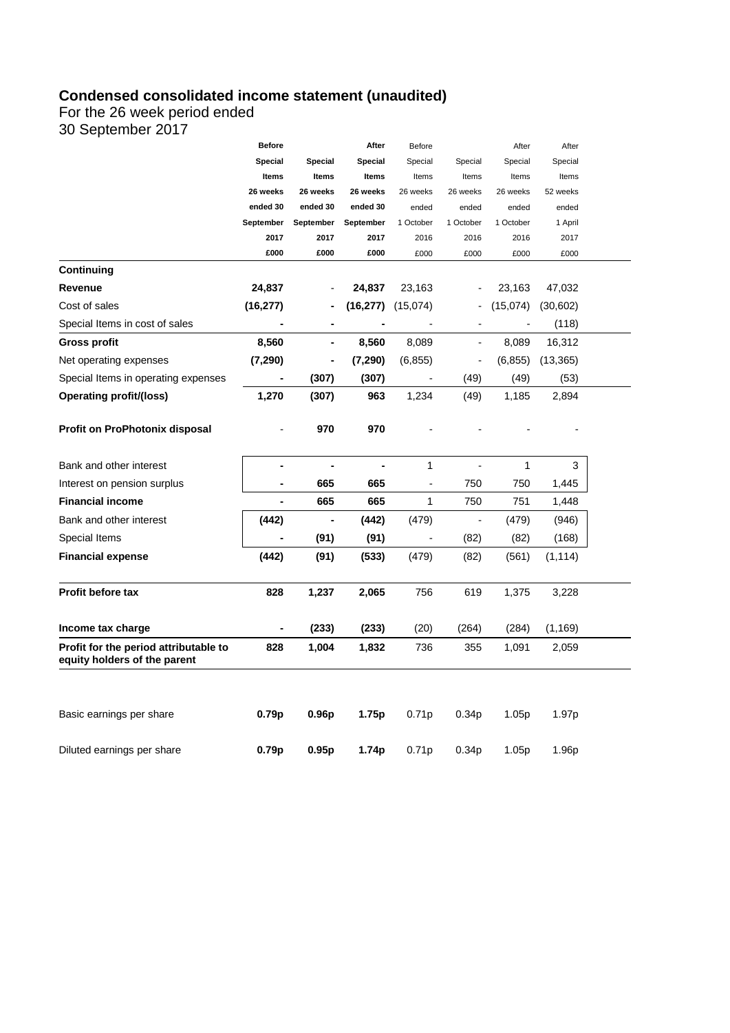## **Condensed consolidated income statement (unaudited)**

For the 26 week period ended

30 September 2017

|                                                                       | <b>Before</b>     |                   | After     | <b>Before</b>                |                          | After     | After             |  |
|-----------------------------------------------------------------------|-------------------|-------------------|-----------|------------------------------|--------------------------|-----------|-------------------|--|
|                                                                       | Special           | Special           | Special   | Special                      | Special                  | Special   | Special           |  |
|                                                                       | Items             | Items             | Items     | Items                        | Items                    | Items     | Items             |  |
|                                                                       | 26 weeks          | 26 weeks          | 26 weeks  | 26 weeks                     | 26 weeks                 | 26 weeks  | 52 weeks          |  |
|                                                                       | ended 30          | ended 30          | ended 30  | ended                        | ended                    | ended     | ended             |  |
|                                                                       | September         | September         | September | 1 October                    | 1 October                | 1 October | 1 April           |  |
|                                                                       | 2017              | 2017              | 2017      | 2016                         | 2016                     | 2016      | 2017              |  |
|                                                                       | £000              | £000              | £000      | £000                         | £000                     | £000      | £000              |  |
| Continuing                                                            |                   |                   |           |                              |                          |           |                   |  |
| Revenue                                                               | 24,837            |                   | 24,837    | 23,163                       |                          | 23,163    | 47,032            |  |
| Cost of sales                                                         | (16, 277)         |                   | (16, 277) | (15,074)                     |                          | (15,074)  | (30,602)          |  |
| Special Items in cost of sales                                        |                   |                   |           |                              |                          |           | (118)             |  |
| <b>Gross profit</b>                                                   | 8,560             |                   | 8,560     | 8,089                        | $\overline{\phantom{a}}$ | 8,089     | 16,312            |  |
| Net operating expenses                                                | (7, 290)          | $\blacksquare$    | (7, 290)  | (6, 855)                     | $\overline{\phantom{0}}$ | (6, 855)  | (13, 365)         |  |
| Special Items in operating expenses                                   |                   | (307)             | (307)     |                              | (49)                     | (49)      | (53)              |  |
| <b>Operating profit/(loss)</b>                                        | 1,270             | (307)             | 963       | 1,234                        | (49)                     | 1,185     | 2,894             |  |
| Profit on ProPhotonix disposal                                        |                   | 970               | 970       |                              |                          |           |                   |  |
| Bank and other interest                                               | $\blacksquare$    |                   |           | 1                            |                          | 1         | 3                 |  |
| Interest on pension surplus                                           | ٠                 | 665               | 665       | $\qquad \qquad \blacksquare$ | 750                      | 750       | 1,445             |  |
| <b>Financial income</b>                                               |                   | 665               | 665       | 1                            | 750                      | 751       | 1,448             |  |
| Bank and other interest                                               | (442)             | $\blacksquare$    | (442)     | (479)                        | $\overline{\phantom{a}}$ | (479)     | (946)             |  |
| Special Items                                                         |                   | (91)              | (91)      |                              | (82)                     | (82)      | (168)             |  |
| <b>Financial expense</b>                                              | (442)             | (91)              | (533)     | (479)                        | (82)                     | (561)     | (1, 114)          |  |
| <b>Profit before tax</b>                                              | 828               | 1,237             | 2,065     | 756                          | 619                      | 1,375     | 3,228             |  |
| Income tax charge                                                     |                   | (233)             | (233)     | (20)                         | (264)                    | (284)     | (1, 169)          |  |
| Profit for the period attributable to<br>equity holders of the parent | 828               | 1,004             | 1,832     | 736                          | 355                      | 1,091     | 2,059             |  |
| Basic earnings per share                                              | 0.79p             | 0.96 <sub>p</sub> | 1.75p     | 0.71p                        | 0.34 <sub>p</sub>        | 1.05p     | 1.97 <sub>p</sub> |  |
| Diluted earnings per share                                            | 0.79 <sub>p</sub> | 0.95p             | 1.74p     | 0.71p                        | 0.34 <sub>p</sub>        | 1.05p     | 1.96p             |  |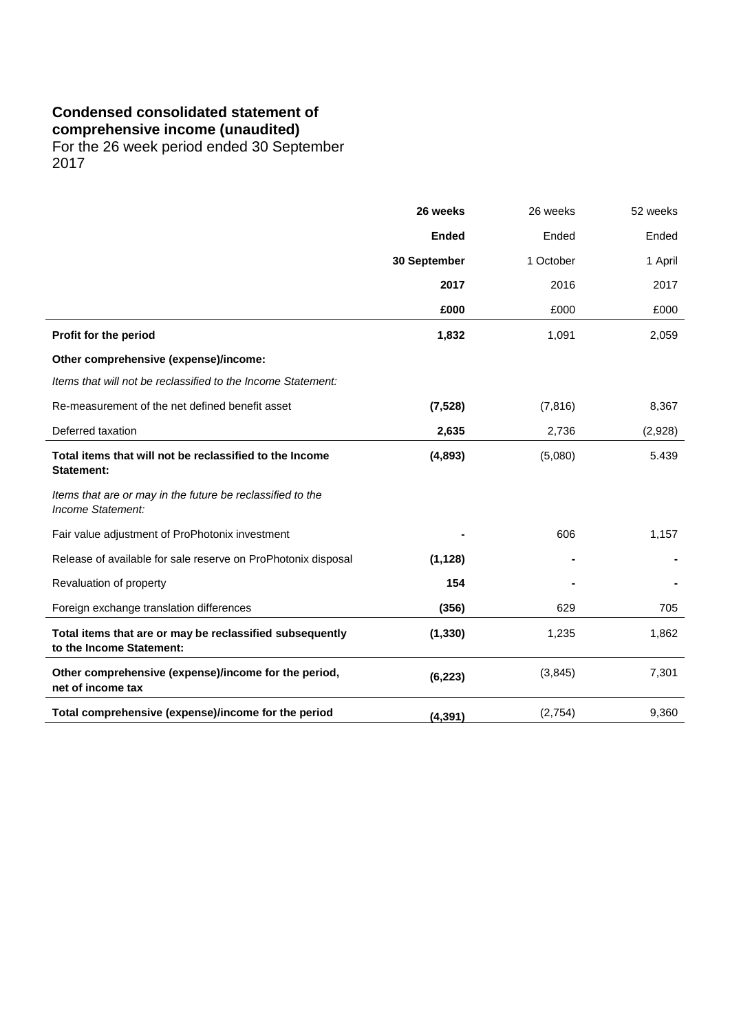# **Condensed consolidated statement of**

**comprehensive income (unaudited)**

For the 26 week period ended 30 September 2017

|                                                                                      | 26 weeks     | 26 weeks  | 52 weeks |
|--------------------------------------------------------------------------------------|--------------|-----------|----------|
|                                                                                      | <b>Ended</b> | Ended     | Ended    |
|                                                                                      | 30 September | 1 October | 1 April  |
|                                                                                      | 2017         | 2016      | 2017     |
|                                                                                      | £000         | £000      | £000     |
| Profit for the period                                                                | 1,832        | 1,091     | 2,059    |
| Other comprehensive (expense)/income:                                                |              |           |          |
| Items that will not be reclassified to the Income Statement:                         |              |           |          |
| Re-measurement of the net defined benefit asset                                      | (7, 528)     | (7, 816)  | 8,367    |
| Deferred taxation                                                                    | 2,635        | 2,736     | (2,928)  |
| Total items that will not be reclassified to the Income<br>Statement:                | (4,893)      | (5,080)   | 5.439    |
| Items that are or may in the future be reclassified to the<br>Income Statement:      |              |           |          |
| Fair value adjustment of ProPhotonix investment                                      |              | 606       | 1,157    |
| Release of available for sale reserve on ProPhotonix disposal                        | (1, 128)     |           |          |
| Revaluation of property                                                              | 154          |           |          |
| Foreign exchange translation differences                                             | (356)        | 629       | 705      |
| Total items that are or may be reclassified subsequently<br>to the Income Statement: | (1, 330)     | 1,235     | 1,862    |
| Other comprehensive (expense)/income for the period,<br>net of income tax            | (6, 223)     | (3, 845)  | 7,301    |
| Total comprehensive (expense)/income for the period                                  | (4, 391)     | (2,754)   | 9,360    |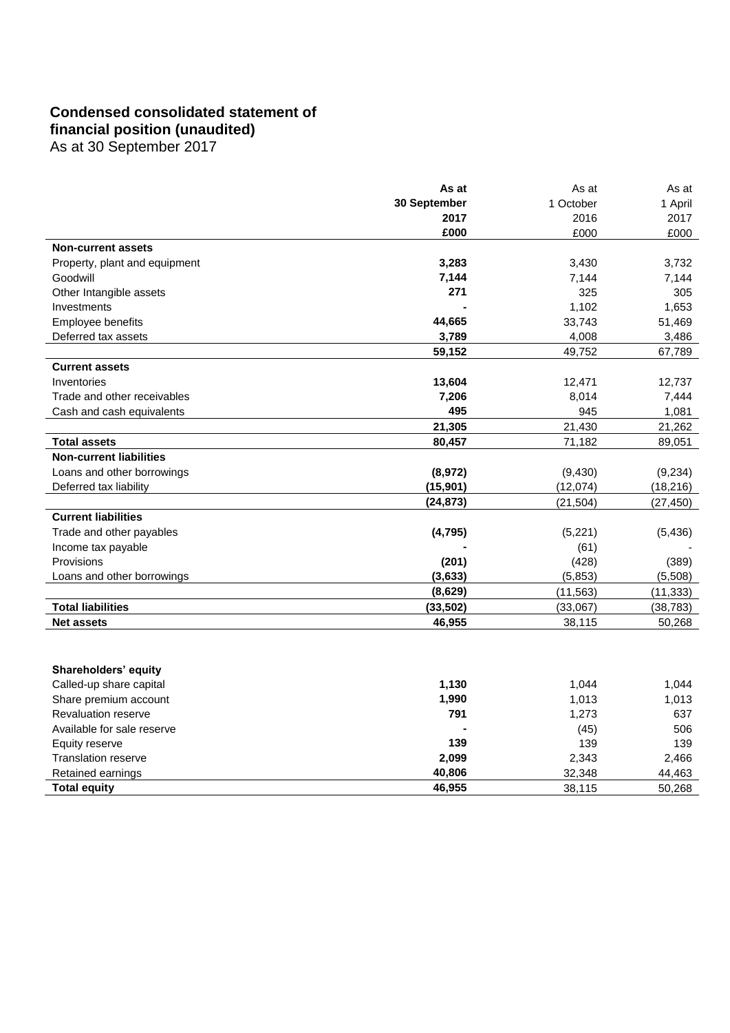## **Condensed consolidated statement of financial position (unaudited)**

As at 30 September 2017

|                                | As at        | As at     | As at     |
|--------------------------------|--------------|-----------|-----------|
|                                | 30 September | 1 October | 1 April   |
|                                | 2017         | 2016      | 2017      |
|                                | £000         | £000      | £000      |
| <b>Non-current assets</b>      |              |           |           |
| Property, plant and equipment  | 3,283        | 3,430     | 3,732     |
| Goodwill                       | 7,144        | 7,144     | 7,144     |
| Other Intangible assets        | 271          | 325       | 305       |
| Investments                    |              | 1,102     | 1,653     |
| Employee benefits              | 44,665       | 33,743    | 51,469    |
| Deferred tax assets            | 3,789        | 4,008     | 3,486     |
|                                | 59,152       | 49,752    | 67,789    |
| <b>Current assets</b>          |              |           |           |
| Inventories                    | 13,604       | 12,471    | 12,737    |
| Trade and other receivables    | 7,206        | 8,014     | 7,444     |
| Cash and cash equivalents      | 495          | 945       | 1,081     |
|                                | 21,305       | 21,430    | 21,262    |
| <b>Total assets</b>            | 80,457       | 71,182    | 89,051    |
| <b>Non-current liabilities</b> |              |           |           |
| Loans and other borrowings     | (8,972)      | (9,430)   | (9,234)   |
| Deferred tax liability         | (15, 901)    | (12,074)  | (18, 216) |
|                                | (24, 873)    | (21,504)  | (27, 450) |
| <b>Current liabilities</b>     |              |           |           |
| Trade and other payables       | (4, 795)     | (5,221)   | (5, 436)  |
| Income tax payable             |              | (61)      |           |
| Provisions                     | (201)        | (428)     | (389)     |
| Loans and other borrowings     | (3,633)      | (5,853)   | (5,508)   |
|                                | (8,629)      | (11, 563) | (11, 333) |
| <b>Total liabilities</b>       | (33, 502)    | (33,067)  | (38, 783) |
| <b>Net assets</b>              | 46,955       | 38,115    | 50,268    |
|                                |              |           |           |
|                                |              |           |           |
| Shareholders' equity           |              |           |           |
| Called-up share capital        | 1,130        | 1,044     | 1,044     |
| Share premium account          | 1,990        | 1,013     | 1,013     |
| Revaluation reserve            | 791          | 1,273     | 637       |
| Available for sale reserve     |              | (45)      | 506       |
| Equity reserve                 | 139          | 139       | 139       |
| <b>Translation reserve</b>     | 2,099        | 2,343     | 2,466     |
| Retained earnings              | 40,806       | 32,348    | 44,463    |

**Total equity 16,955** 38,115 50,268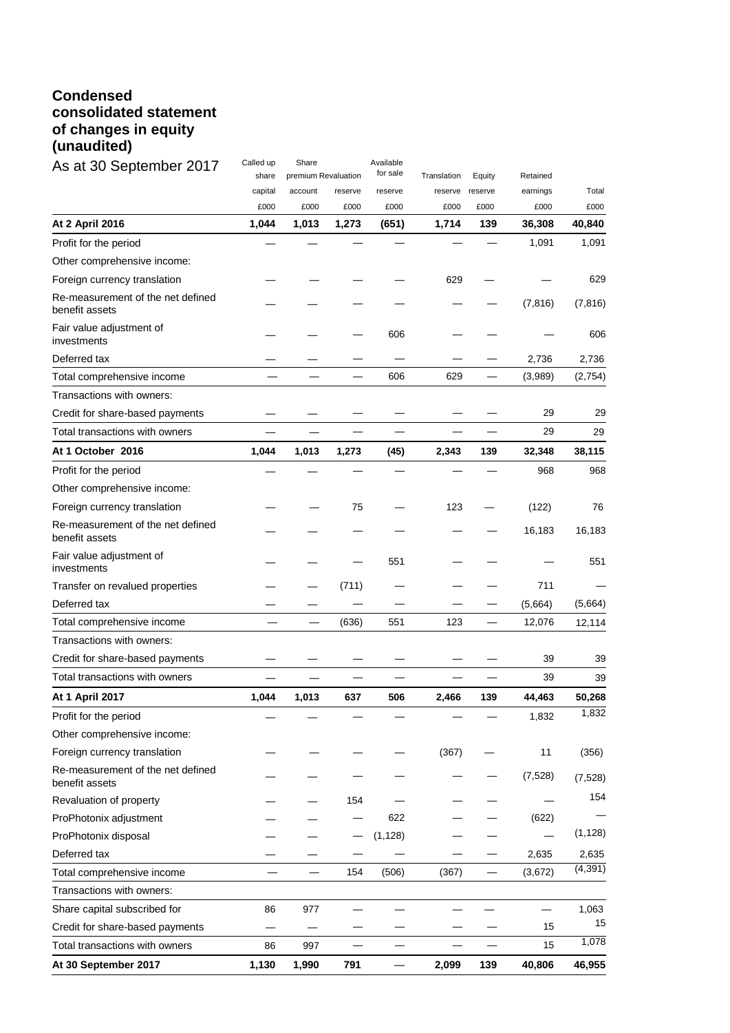## **Condensed consolidated statement of changes in equity (unaudited)**

| As at 30 September 2017                             | Called up<br>share | Share<br>premium Revaluation |         | Available<br>for sale | Translation | Equity  | Retained |          |
|-----------------------------------------------------|--------------------|------------------------------|---------|-----------------------|-------------|---------|----------|----------|
|                                                     | capital            | account                      | reserve | reserve               | reserve     | reserve | earnings | Total    |
|                                                     | £000               | £000                         | £000    | £000                  | £000        | £000    | £000     | £000     |
| At 2 April 2016                                     | 1,044              | 1,013                        | 1,273   | (651)                 | 1,714       | 139     | 36,308   | 40,840   |
| Profit for the period                               |                    |                              |         |                       |             |         | 1,091    | 1,091    |
| Other comprehensive income:                         |                    |                              |         |                       |             |         |          |          |
| Foreign currency translation                        |                    |                              |         |                       | 629         |         |          | 629      |
| Re-measurement of the net defined<br>benefit assets |                    |                              |         |                       |             |         | (7, 816) | (7, 816) |
| Fair value adjustment of<br>investments             |                    |                              |         | 606                   |             |         |          | 606      |
| Deferred tax                                        |                    |                              |         |                       |             |         | 2,736    | 2,736    |
| Total comprehensive income                          |                    |                              |         | 606                   | 629         |         | (3,989)  | (2,754)  |
| Transactions with owners:                           |                    |                              |         |                       |             |         |          |          |
| Credit for share-based payments                     |                    |                              |         |                       |             |         | 29       | 29       |
| Total transactions with owners                      |                    |                              |         |                       |             |         | 29       | 29       |
| At 1 October 2016                                   | 1,044              | 1,013                        | 1,273   | (45)                  | 2,343       | 139     | 32,348   | 38,115   |
| Profit for the period                               |                    |                              |         |                       |             |         | 968      | 968      |
| Other comprehensive income:                         |                    |                              |         |                       |             |         |          |          |
| Foreign currency translation                        |                    |                              | 75      |                       | 123         |         | (122)    | 76       |
| Re-measurement of the net defined<br>benefit assets |                    |                              |         |                       |             |         | 16,183   | 16,183   |
| Fair value adjustment of<br>investments             |                    |                              |         | 551                   |             |         |          | 551      |
| Transfer on revalued properties                     |                    |                              | (711)   |                       |             |         | 711      |          |
| Deferred tax                                        |                    |                              |         |                       |             |         | (5,664)  | (5,664)  |
| Total comprehensive income                          |                    |                              | (636)   | 551                   | 123         |         | 12,076   | 12,114   |
| Transactions with owners:                           |                    |                              |         |                       |             |         |          |          |
| Credit for share-based payments                     |                    |                              |         |                       |             |         | 39       | 39       |
| Total transactions with owners                      |                    |                              |         |                       |             |         | 39       | 39       |
| <b>At 1 April 2017</b>                              | 1,044              | 1,013                        | 637     | 506                   | 2,466       | 139     | 44,463   | 50,268   |
| Profit for the period                               |                    |                              |         |                       |             |         | 1,832    | 1,832    |
| Other comprehensive income:                         |                    |                              |         |                       |             |         |          |          |
| Foreign currency translation                        |                    |                              |         |                       | (367)       |         | 11       | (356)    |
| Re-measurement of the net defined<br>benefit assets |                    |                              |         |                       |             |         | (7,528)  | (7, 528) |
| Revaluation of property                             |                    |                              | 154     |                       |             |         |          | 154      |
| ProPhotonix adjustment                              |                    |                              |         | 622                   |             |         | (622)    |          |
| ProPhotonix disposal                                |                    |                              |         | (1, 128)              |             |         |          | (1, 128) |
| Deferred tax                                        |                    |                              |         |                       |             |         | 2,635    | 2,635    |
| Total comprehensive income                          |                    |                              | 154     | (506)                 | (367)       |         | (3,672)  | (4, 391) |
| Transactions with owners:                           |                    |                              |         |                       |             |         |          |          |
| Share capital subscribed for                        | 86                 | 977                          |         |                       |             |         |          | 1,063    |
| Credit for share-based payments                     |                    |                              |         |                       |             |         | 15       | 15       |
| Total transactions with owners                      | 86                 | 997                          |         |                       |             |         | 15       | 1,078    |
| At 30 September 2017                                | 1,130              | 1,990                        | 791     |                       | 2,099       | 139     | 40,806   | 46,955   |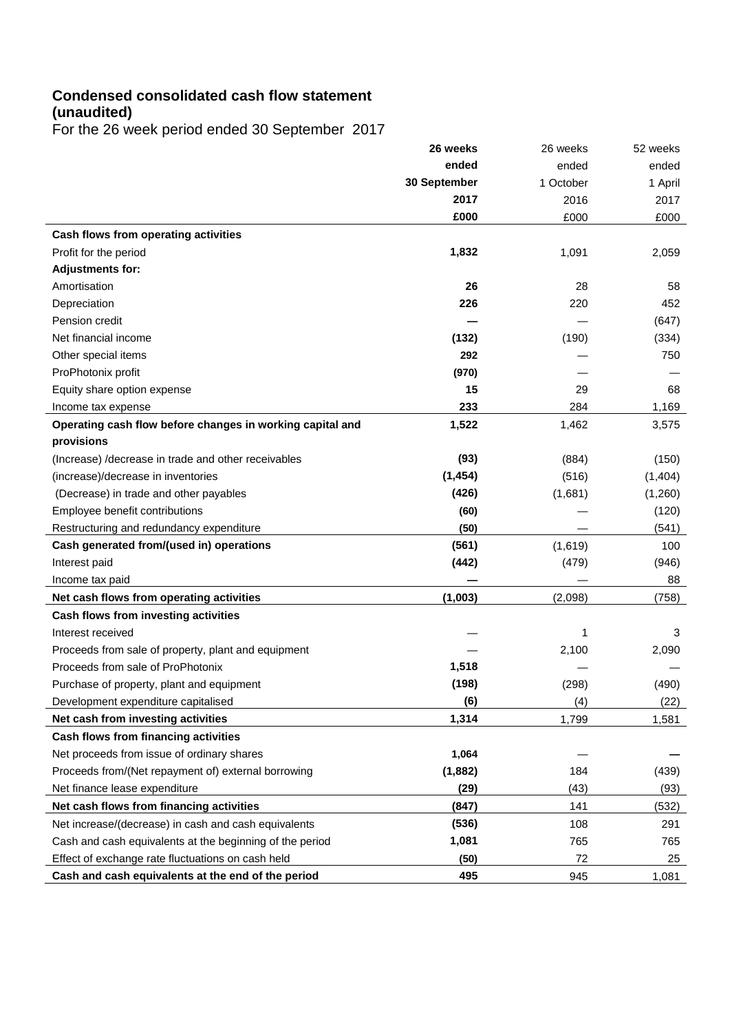## **Condensed consolidated cash flow statement (unaudited)**

For the 26 week period ended 30 September 2017

|                                                           | 26 weeks     | 26 weeks  | 52 weeks |
|-----------------------------------------------------------|--------------|-----------|----------|
|                                                           | ended        | ended     | ended    |
|                                                           | 30 September | 1 October | 1 April  |
|                                                           | 2017         | 2016      | 2017     |
|                                                           | £000         | £000      | £000     |
| Cash flows from operating activities                      |              |           |          |
| Profit for the period                                     | 1,832        | 1,091     | 2,059    |
| <b>Adjustments for:</b>                                   |              |           |          |
| Amortisation                                              | 26           | 28        | 58       |
| Depreciation                                              | 226          | 220       | 452      |
| Pension credit                                            |              |           | (647)    |
| Net financial income                                      | (132)        | (190)     | (334)    |
| Other special items                                       | 292          |           | 750      |
| ProPhotonix profit                                        | (970)        |           |          |
| Equity share option expense                               | 15           | 29        | 68       |
| Income tax expense                                        | 233          | 284       | 1,169    |
| Operating cash flow before changes in working capital and | 1,522        | 1,462     | 3,575    |
| provisions                                                |              |           |          |
| (Increase) /decrease in trade and other receivables       | (93)         | (884)     | (150)    |
| (increase)/decrease in inventories                        | (1, 454)     | (516)     | (1,404)  |
| (Decrease) in trade and other payables                    | (426)        | (1,681)   | (1,260)  |
| Employee benefit contributions                            | (60)         |           | (120)    |
| Restructuring and redundancy expenditure                  | (50)         |           | (541)    |
| Cash generated from/(used in) operations                  | (561)        | (1,619)   | 100      |
| Interest paid                                             | (442)        | (479)     | (946)    |
| Income tax paid                                           |              |           | 88       |
| Net cash flows from operating activities                  | (1,003)      | (2,098)   | (758)    |
| Cash flows from investing activities                      |              |           |          |
| Interest received                                         |              | 1         | 3        |
| Proceeds from sale of property, plant and equipment       |              | 2,100     | 2,090    |
| Proceeds from sale of ProPhotonix                         | 1,518        |           |          |
| Purchase of property, plant and equipment                 | (198)        | (298)     | (490)    |
| Development expenditure capitalised                       | (6)          | (4)       | (22)     |
| Net cash from investing activities                        | 1,314        | 1,799     | 1,581    |
| Cash flows from financing activities                      |              |           |          |
| Net proceeds from issue of ordinary shares                | 1,064        |           |          |
| Proceeds from/(Net repayment of) external borrowing       | (1,882)      | 184       | (439)    |
| Net finance lease expenditure                             | (29)         | (43)      | (93)     |
| Net cash flows from financing activities                  | (847)        | 141       | (532)    |
| Net increase/(decrease) in cash and cash equivalents      | (536)        | 108       | 291      |
| Cash and cash equivalents at the beginning of the period  | 1,081        | 765       | 765      |
| Effect of exchange rate fluctuations on cash held         | (50)         | 72        | 25       |
| Cash and cash equivalents at the end of the period        | 495          | 945       | 1,081    |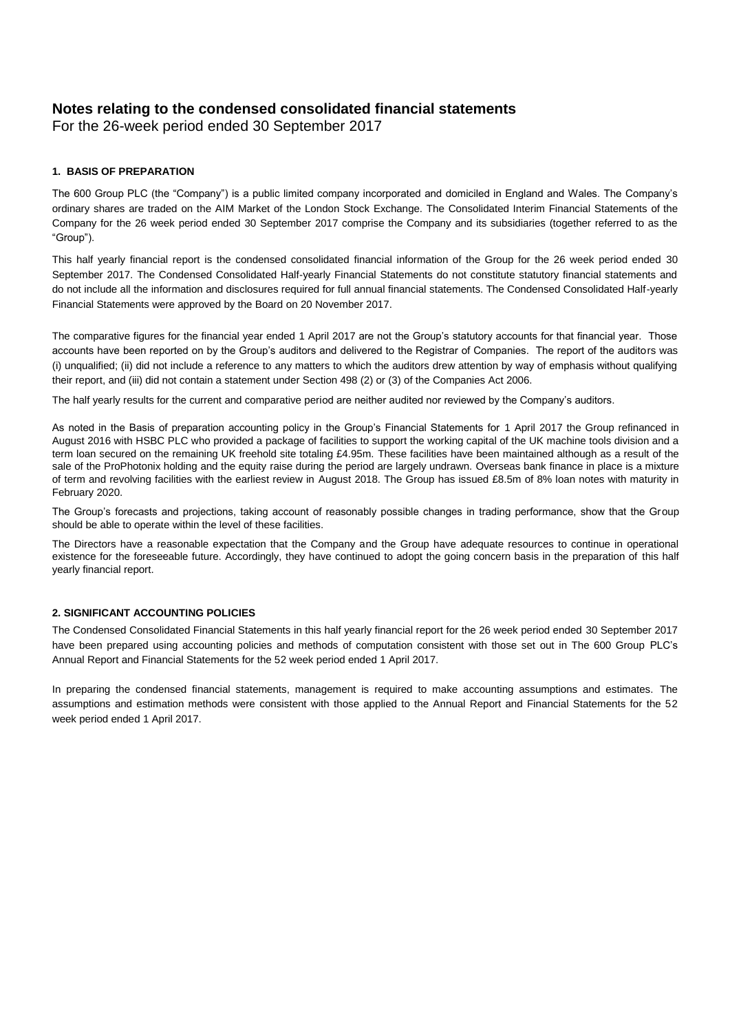## **Notes relating to the condensed consolidated financial statements**

For the 26-week period ended 30 September 2017

### **1. BASIS OF PREPARATION**

The 600 Group PLC (the "Company") is a public limited company incorporated and domiciled in England and Wales. The Company's ordinary shares are traded on the AIM Market of the London Stock Exchange. The Consolidated Interim Financial Statements of the Company for the 26 week period ended 30 September 2017 comprise the Company and its subsidiaries (together referred to as the "Group").

This half yearly financial report is the condensed consolidated financial information of the Group for the 26 week period ended 30 September 2017. The Condensed Consolidated Half-yearly Financial Statements do not constitute statutory financial statements and do not include all the information and disclosures required for full annual financial statements. The Condensed Consolidated Half-yearly Financial Statements were approved by the Board on 20 November 2017.

The comparative figures for the financial year ended 1 April 2017 are not the Group's statutory accounts for that financial year. Those accounts have been reported on by the Group's auditors and delivered to the Registrar of Companies. The report of the auditors was (i) unqualified; (ii) did not include a reference to any matters to which the auditors drew attention by way of emphasis without qualifying their report, and (iii) did not contain a statement under Section 498 (2) or (3) of the Companies Act 2006.

The half yearly results for the current and comparative period are neither audited nor reviewed by the Company's auditors.

As noted in the Basis of preparation accounting policy in the Group's Financial Statements for 1 April 2017 the Group refinanced in August 2016 with HSBC PLC who provided a package of facilities to support the working capital of the UK machine tools division and a term loan secured on the remaining UK freehold site totaling £4.95m. These facilities have been maintained although as a result of the sale of the ProPhotonix holding and the equity raise during the period are largely undrawn. Overseas bank finance in place is a mixture of term and revolving facilities with the earliest review in August 2018. The Group has issued £8.5m of 8% loan notes with maturity in February 2020.

The Group's forecasts and projections, taking account of reasonably possible changes in trading performance, show that the Group should be able to operate within the level of these facilities.

The Directors have a reasonable expectation that the Company and the Group have adequate resources to continue in operational existence for the foreseeable future. Accordingly, they have continued to adopt the going concern basis in the preparation of this half yearly financial report.

### **2. SIGNIFICANT ACCOUNTING POLICIES**

The Condensed Consolidated Financial Statements in this half yearly financial report for the 26 week period ended 30 September 2017 have been prepared using accounting policies and methods of computation consistent with those set out in The 600 Group PLC's Annual Report and Financial Statements for the 52 week period ended 1 April 2017.

In preparing the condensed financial statements, management is required to make accounting assumptions and estimates. The assumptions and estimation methods were consistent with those applied to the Annual Report and Financial Statements for the 52 week period ended 1 April 2017.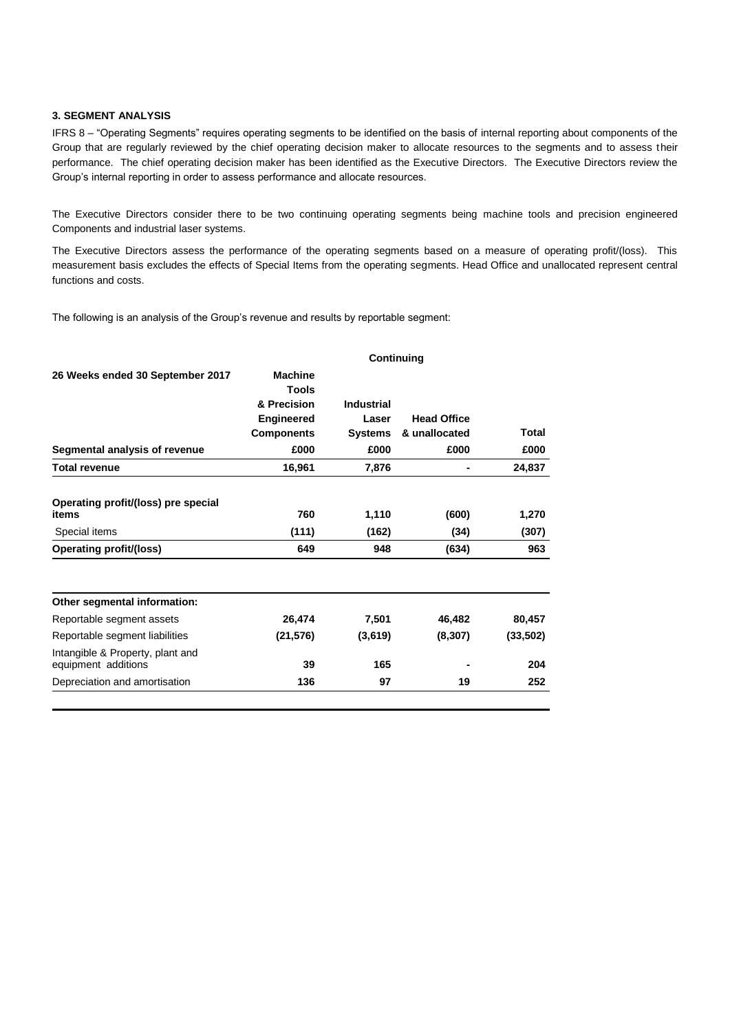### **3. SEGMENT ANALYSIS**

IFRS 8 – "Operating Segments" requires operating segments to be identified on the basis of internal reporting about components of the Group that are regularly reviewed by the chief operating decision maker to allocate resources to the segments and to assess their performance. The chief operating decision maker has been identified as the Executive Directors. The Executive Directors review the Group's internal reporting in order to assess performance and allocate resources.

The Executive Directors consider there to be two continuing operating segments being machine tools and precision engineered Components and industrial laser systems.

The Executive Directors assess the performance of the operating segments based on a measure of operating profit/(loss). This measurement basis excludes the effects of Special Items from the operating segments. Head Office and unallocated represent central functions and costs.

The following is an analysis of the Group's revenue and results by reportable segment:

|                                                         | <b>Continuing</b>              |                   |                    |           |  |  |
|---------------------------------------------------------|--------------------------------|-------------------|--------------------|-----------|--|--|
| 26 Weeks ended 30 September 2017                        | <b>Machine</b><br><b>Tools</b> |                   |                    |           |  |  |
|                                                         | & Precision                    | <b>Industrial</b> |                    |           |  |  |
|                                                         | <b>Engineered</b>              | Laser             | <b>Head Office</b> |           |  |  |
|                                                         | <b>Components</b>              | <b>Systems</b>    | & unallocated      | Total     |  |  |
| Segmental analysis of revenue                           | £000                           | £000              | £000               | £000      |  |  |
| <b>Total revenue</b>                                    | 16,961                         | 7,876             |                    | 24,837    |  |  |
| Operating profit/(loss) pre special<br>items            | 760                            | 1,110             | (600)              | 1,270     |  |  |
| Special items                                           | (111)                          | (162)             | (34)               | (307)     |  |  |
| Operating profit/(loss)                                 | 649                            | 948               | (634)              | 963       |  |  |
| Other segmental information:                            |                                |                   |                    |           |  |  |
| Reportable segment assets                               | 26,474                         | 7,501             | 46,482             | 80,457    |  |  |
| Reportable segment liabilities                          | (21, 576)                      | (3,619)           | (8, 307)           | (33, 502) |  |  |
| Intangible & Property, plant and<br>equipment additions | 39                             | 165               |                    | 204       |  |  |
| Depreciation and amortisation                           | 136                            | 97                | 19                 | 252       |  |  |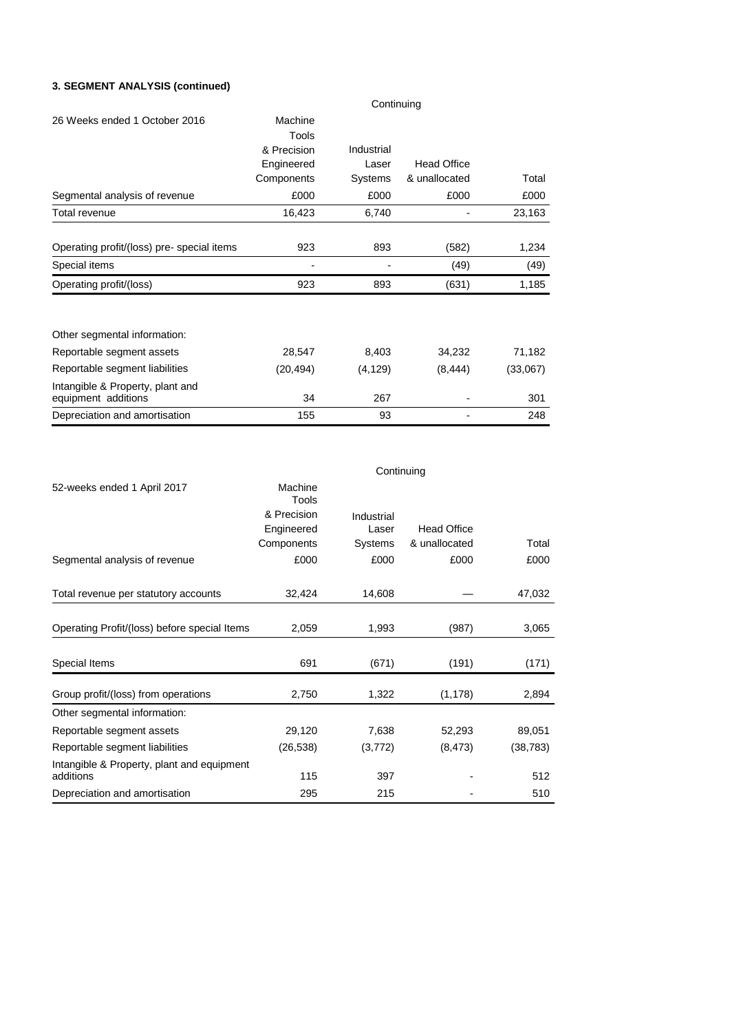## **3. SEGMENT ANALYSIS (continued)**

|                                                         | Continuing  |            |                    |          |  |
|---------------------------------------------------------|-------------|------------|--------------------|----------|--|
| 26 Weeks ended 1 October 2016                           | Machine     |            |                    |          |  |
|                                                         | Tools       |            |                    |          |  |
|                                                         | & Precision | Industrial |                    |          |  |
|                                                         | Engineered  | Laser      | <b>Head Office</b> |          |  |
|                                                         | Components  | Systems    | & unallocated      | Total    |  |
| Segmental analysis of revenue                           | £000        | £000       | £000               | £000     |  |
| Total revenue                                           | 16,423      | 6,740      |                    | 23,163   |  |
|                                                         |             |            |                    |          |  |
| Operating profit/(loss) pre-special items               | 923         | 893        | (582)              | 1,234    |  |
| Special items                                           |             |            | (49)               | (49)     |  |
| Operating profit/(loss)                                 | 923         | 893        | (631)              | 1,185    |  |
|                                                         |             |            |                    |          |  |
| Other segmental information:                            |             |            |                    |          |  |
| Reportable segment assets                               | 28,547      | 8,403      | 34,232             | 71,182   |  |
| Reportable segment liabilities                          | (20, 494)   | (4, 129)   | (8, 444)           | (33,067) |  |
| Intangible & Property, plant and<br>equipment additions | 34          | 267        |                    | 301      |  |
| Depreciation and amortisation                           | 155         | 93         |                    | 248      |  |

|                                                         | Continuing       |            |                    |           |  |
|---------------------------------------------------------|------------------|------------|--------------------|-----------|--|
| 52-weeks ended 1 April 2017                             | Machine<br>Tools |            |                    |           |  |
|                                                         | & Precision      | Industrial |                    |           |  |
|                                                         | Engineered       | Laser      | <b>Head Office</b> |           |  |
|                                                         | Components       | Systems    | & unallocated      | Total     |  |
| Segmental analysis of revenue                           | £000             | £000       | £000               | £000      |  |
|                                                         |                  |            |                    |           |  |
| Total revenue per statutory accounts                    | 32,424           | 14,608     |                    | 47,032    |  |
|                                                         |                  |            |                    |           |  |
| Operating Profit/(loss) before special Items            | 2,059            | 1,993      | (987)              | 3,065     |  |
|                                                         |                  |            |                    |           |  |
| Special Items                                           | 691              | (671)      | (191)              | (171)     |  |
| Group profit/(loss) from operations                     | 2,750            | 1,322      | (1, 178)           | 2,894     |  |
| Other segmental information:                            |                  |            |                    |           |  |
| Reportable segment assets                               | 29,120           | 7,638      | 52,293             | 89,051    |  |
| Reportable segment liabilities                          | (26, 538)        | (3,772)    | (8, 473)           | (38, 783) |  |
| Intangible & Property, plant and equipment<br>additions | 115              | 397        |                    | 512       |  |
| Depreciation and amortisation                           | 295              | 215        |                    | 510       |  |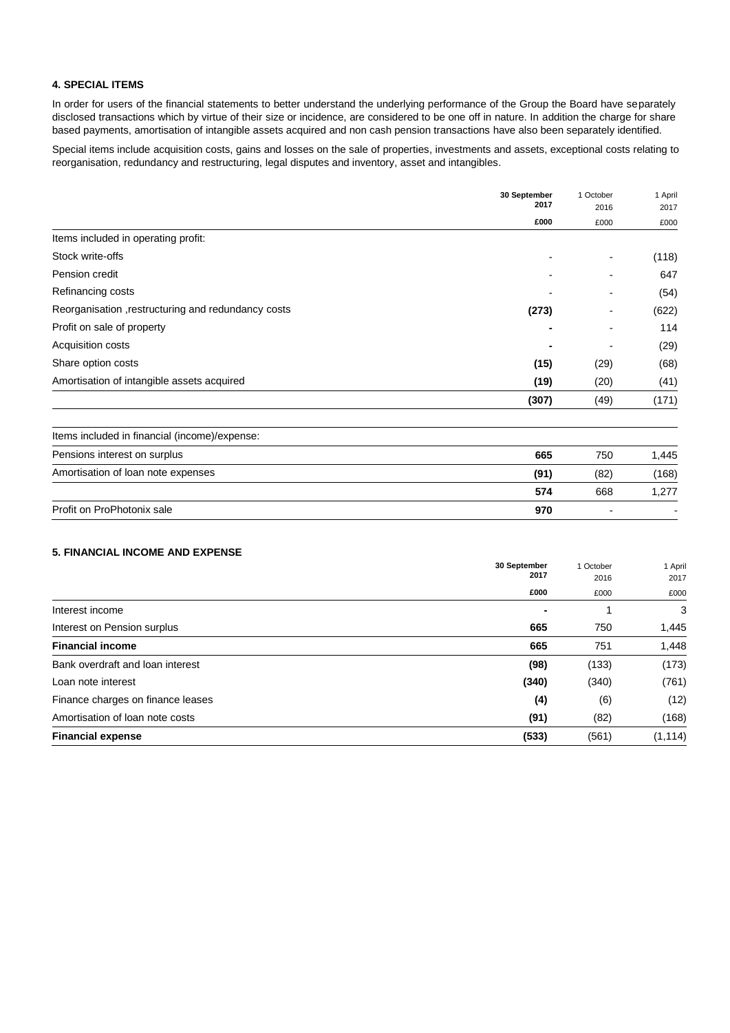### **4. SPECIAL ITEMS**

In order for users of the financial statements to better understand the underlying performance of the Group the Board have separately disclosed transactions which by virtue of their size or incidence, are considered to be one off in nature. In addition the charge for share based payments, amortisation of intangible assets acquired and non cash pension transactions have also been separately identified.

Special items include acquisition costs, gains and losses on the sale of properties, investments and assets, exceptional costs relating to reorganisation, redundancy and restructuring, legal disputes and inventory, asset and intangibles.

|                                                    | 30 September<br>2017 | 1 October<br>2016 | 1 April<br>2017 |
|----------------------------------------------------|----------------------|-------------------|-----------------|
|                                                    | £000                 | £000              | £000            |
| Items included in operating profit:                |                      |                   |                 |
| Stock write-offs                                   | -                    |                   | (118)           |
| Pension credit                                     | ۰                    |                   | 647             |
| Refinancing costs                                  |                      |                   | (54)            |
| Reorganisation, restructuring and redundancy costs | (273)                |                   | (622)           |
| Profit on sale of property                         |                      |                   | 114             |
| Acquisition costs                                  | ۰                    |                   | (29)            |
| Share option costs                                 | (15)                 | (29)              | (68)            |
| Amortisation of intangible assets acquired         | (19)                 | (20)              | (41)            |
|                                                    | (307)                | (49)              | (171)           |

| Items included in financial (income)/expense: |      |      |       |
|-----------------------------------------------|------|------|-------|
| Pensions interest on surplus                  | 665  | 750  | 1.445 |
| Amortisation of loan note expenses            | (91) | (82) | (168) |
|                                               | 574  | 668  | 1.277 |
| Profit on ProPhotonix sale                    | 970  |      |       |

### **5. FINANCIAL INCOME AND EXPENSE**

|                                   | 30 September<br>2017<br>£000 | 1 October<br>2016 | 1 April<br>2017<br>£000 |
|-----------------------------------|------------------------------|-------------------|-------------------------|
|                                   |                              | £000              |                         |
| Interest income                   |                              |                   | 3                       |
| Interest on Pension surplus       | 665                          | 750               | 1,445                   |
| <b>Financial income</b>           | 665                          | 751               | 1,448                   |
| Bank overdraft and loan interest  | (98)                         | (133)             | (173)                   |
| Loan note interest                | (340)                        | (340)             | (761)                   |
| Finance charges on finance leases | (4)                          | (6)               | (12)                    |
| Amortisation of loan note costs   | (91)                         | (82)              | (168)                   |
| <b>Financial expense</b>          | (533)                        | (561)             | (1, 114)                |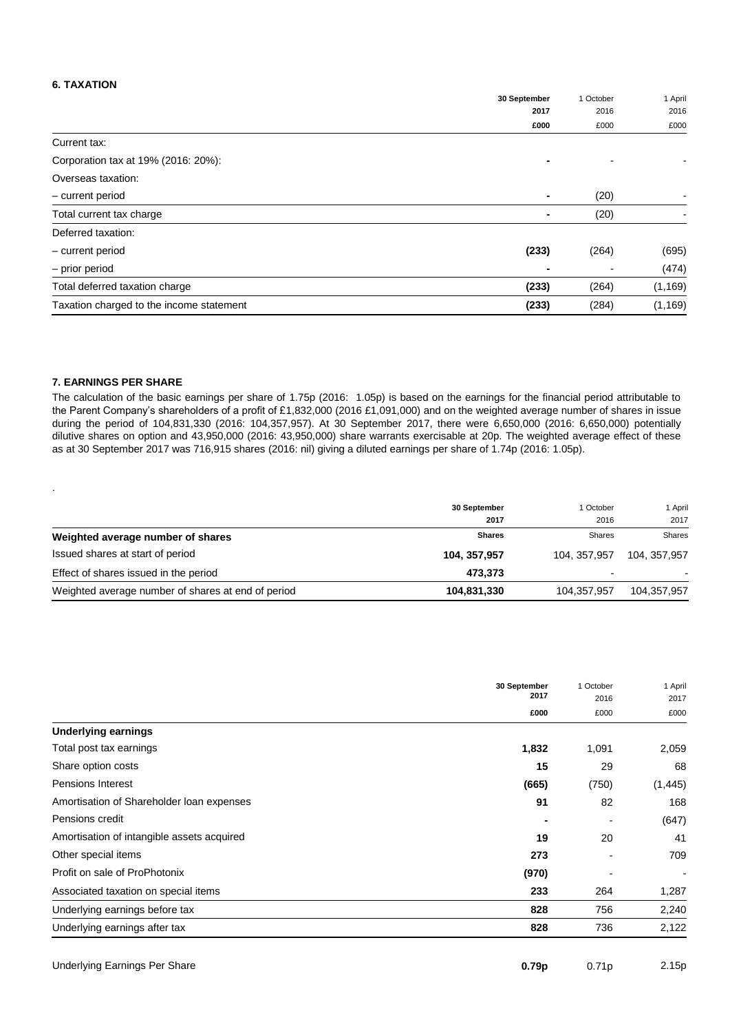### **6. TAXATION**

|                                          | 30 September   | 1 October<br>2016 | 1 April<br>2016 |
|------------------------------------------|----------------|-------------------|-----------------|
|                                          | 2017           |                   |                 |
|                                          | £000           | £000              | £000            |
| Current tax:                             |                |                   |                 |
| Corporation tax at 19% (2016: 20%):      |                |                   |                 |
| Overseas taxation:                       |                |                   |                 |
| - current period                         | $\blacksquare$ | (20)              |                 |
| Total current tax charge                 | $\blacksquare$ | (20)              |                 |
| Deferred taxation:                       |                |                   |                 |
| - current period                         | (233)          | (264)             | (695)           |
| - prior period                           |                |                   | (474)           |
| Total deferred taxation charge           | (233)          | (264)             | (1, 169)        |
| Taxation charged to the income statement | (233)          | (284)             | (1, 169)        |

### **7. EARNINGS PER SHARE**

.

The calculation of the basic earnings per share of 1.75p (2016: 1.05p) is based on the earnings for the financial period attributable to the Parent Company's shareholders of a profit of £1,832,000 (2016 £1,091,000) and on the weighted average number of shares in issue during the period of 104,831,330 (2016: 104,357,957). At 30 September 2017, there were 6,650,000 (2016: 6,650,000) potentially dilutive shares on option and 43,950,000 (2016: 43,950,000) share warrants exercisable at 20p. The weighted average effect of these as at 30 September 2017 was 716,915 shares (2016: nil) giving a diluted earnings per share of 1.74p (2016: 1.05p).

|                                                    | 30 September<br>2017 | 1 October<br>2016 | 1 April<br>2017 |
|----------------------------------------------------|----------------------|-------------------|-----------------|
| Weighted average number of shares                  | <b>Shares</b>        | Shares            | Shares          |
| Issued shares at start of period                   | 104, 357, 957        | 104.357.957       | 104, 357, 957   |
| Effect of shares issued in the period              | 473.373              |                   |                 |
| Weighted average number of shares at end of period | 104,831,330          | 104,357,957       | 104,357,957     |

|                                            | 30 September<br>2017<br>£000 | 1 October<br>2016 | 1 April<br>2017 |
|--------------------------------------------|------------------------------|-------------------|-----------------|
|                                            |                              | £000              | £000            |
| <b>Underlying earnings</b>                 |                              |                   |                 |
| Total post tax earnings                    | 1,832                        | 1,091             | 2,059           |
| Share option costs                         | 15                           | 29                | 68              |
| <b>Pensions Interest</b>                   | (665)                        | (750)             | (1, 445)        |
| Amortisation of Shareholder loan expenses  | 91                           | 82                | 168             |
| Pensions credit                            |                              |                   | (647)           |
| Amortisation of intangible assets acquired | 19                           | 20                | 41              |
| Other special items                        | 273                          |                   | 709             |
| Profit on sale of ProPhotonix              | (970)                        |                   |                 |
| Associated taxation on special items       | 233                          | 264               | 1,287           |
| Underlying earnings before tax             | 828                          | 756               | 2,240           |
| Underlying earnings after tax              | 828                          | 736               | 2,122           |

| 0.79 <sub>p</sub> | 0.71p | 2.15p |
|-------------------|-------|-------|
|                   |       |       |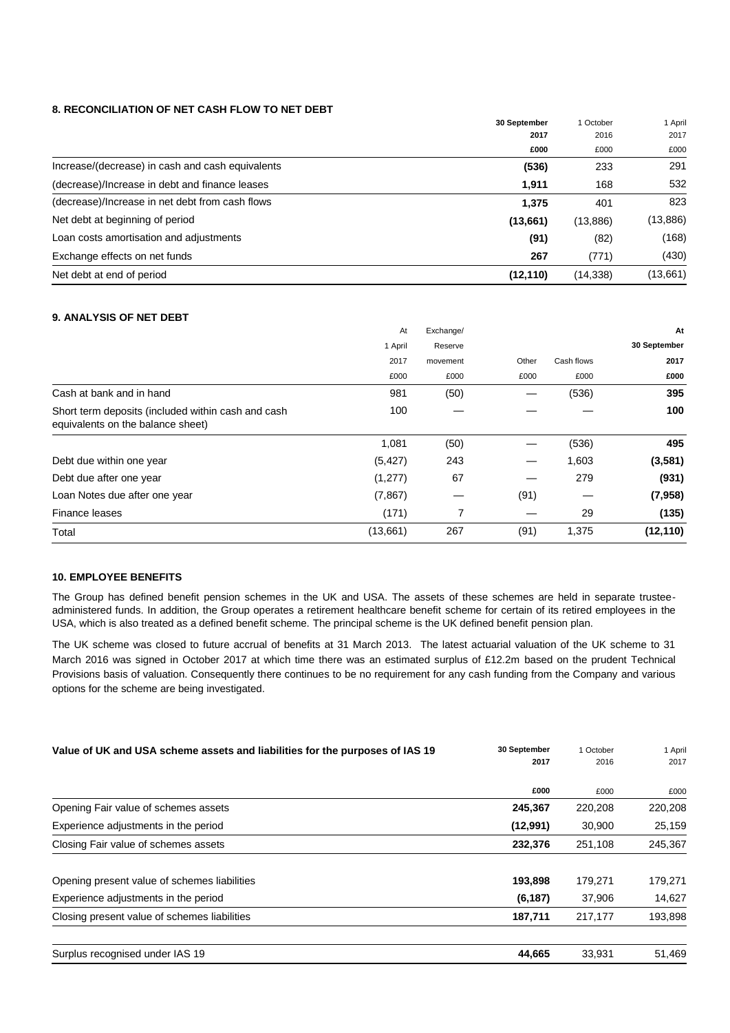### **8. RECONCILIATION OF NET CASH FLOW TO NET DEBT**

|                                                  | 30 September<br>2017 | 1 October<br>2016 | 1 April<br>2017 |
|--------------------------------------------------|----------------------|-------------------|-----------------|
|                                                  |                      |                   |                 |
|                                                  | £000                 | £000              | £000            |
| Increase/(decrease) in cash and cash equivalents | (536)                | 233               | 291             |
| (decrease)/Increase in debt and finance leases   | 1,911                | 168               | 532             |
| (decrease)/Increase in net debt from cash flows  | 1,375                | 401               | 823             |
| Net debt at beginning of period                  | (13,661)             | (13, 886)         | (13, 886)       |
| Loan costs amortisation and adjustments          | (91)                 | (82)              | (168)           |
| Exchange effects on net funds                    | 267                  | (771)             | (430)           |
| Net debt at end of period                        | (12, 110)            | (14, 338)         | (13,661)        |

### **9. ANALYSIS OF NET DEBT**

|                                                                                         | At       | Exchange/ |       |            | At           |
|-----------------------------------------------------------------------------------------|----------|-----------|-------|------------|--------------|
|                                                                                         | 1 April  | Reserve   |       |            | 30 September |
|                                                                                         | 2017     | movement  | Other | Cash flows | 2017         |
|                                                                                         | £000     | £000      | £000  | £000       | £000         |
| Cash at bank and in hand                                                                | 981      | (50)      |       | (536)      | 395          |
| Short term deposits (included within cash and cash<br>equivalents on the balance sheet) | 100      |           |       |            | 100          |
|                                                                                         | 1,081    | (50)      |       | (536)      | 495          |
| Debt due within one year                                                                | (5, 427) | 243       | —     | 1,603      | (3,581)      |
| Debt due after one year                                                                 | (1, 277) | 67        | –     | 279        | (931)        |
| Loan Notes due after one year                                                           | (7, 867) |           | (91)  |            | (7,958)      |
| Finance leases                                                                          | (171)    | 7         |       | 29         | (135)        |
| Total                                                                                   | (13,661) | 267       | (91)  | 1,375      | (12, 110)    |

## **10. EMPLOYEE BENEFITS**

The Group has defined benefit pension schemes in the UK and USA. The assets of these schemes are held in separate trusteeadministered funds. In addition, the Group operates a retirement healthcare benefit scheme for certain of its retired employees in the USA, which is also treated as a defined benefit scheme. The principal scheme is the UK defined benefit pension plan.

The UK scheme was closed to future accrual of benefits at 31 March 2013. The latest actuarial valuation of the UK scheme to 31 March 2016 was signed in October 2017 at which time there was an estimated surplus of £12.2m based on the prudent Technical Provisions basis of valuation. Consequently there continues to be no requirement for any cash funding from the Company and various options for the scheme are being investigated.

| Value of UK and USA scheme assets and liabilities for the purposes of IAS 19 | 30 September<br>2017 | October<br>2016 | 1 April<br>2017 |
|------------------------------------------------------------------------------|----------------------|-----------------|-----------------|
|                                                                              | £000                 | £000            | £000            |
| Opening Fair value of schemes assets                                         | 245,367              | 220,208         | 220,208         |
| Experience adjustments in the period                                         | (12,991)             | 30,900          | 25,159          |
| Closing Fair value of schemes assets                                         | 232,376              | 251,108         | 245,367         |
| Opening present value of schemes liabilities                                 | 193,898              | 179.271         | 179,271         |
| Experience adjustments in the period                                         | (6, 187)             | 37,906          | 14,627          |
| Closing present value of schemes liabilities                                 | 187,711              | 217.177         | 193,898         |
| Surplus recognised under IAS 19                                              | 44,665               | 33,931          | 51,469          |